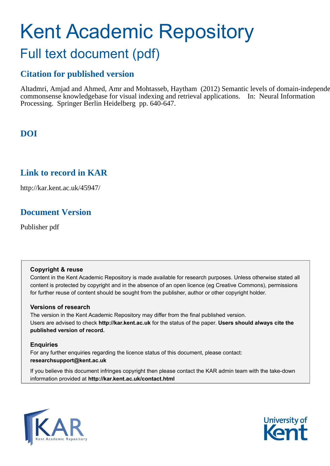# Kent Academic Repository

## Full text document (pdf)

## **Citation for published version**

Altadmri, Amjad and Ahmed, Amr and Mohtasseb, Haytham (2012) Semantic levels of domain-independent commonsense knowledgebase for visual indexing and retrieval applications. In: Neural Information Processing. Springer Berlin Heidelberg pp. 640-647.

## **DOI**

## **Link to record in KAR**

http://kar.kent.ac.uk/45947/

## **Document Version**

Publisher pdf

#### **Copyright & reuse**

Content in the Kent Academic Repository is made available for research purposes. Unless otherwise stated all content is protected by copyright and in the absence of an open licence (eg Creative Commons), permissions for further reuse of content should be sought from the publisher, author or other copyright holder.

#### **Versions of research**

The version in the Kent Academic Repository may differ from the final published version. Users are advised to check **http://kar.kent.ac.uk** for the status of the paper. **Users should always cite the published version of record.**

#### **Enquiries**

For any further enquiries regarding the licence status of this document, please contact: **researchsupport@kent.ac.uk**

If you believe this document infringes copyright then please contact the KAR admin team with the take-down information provided at **http://kar.kent.ac.uk/contact.html**



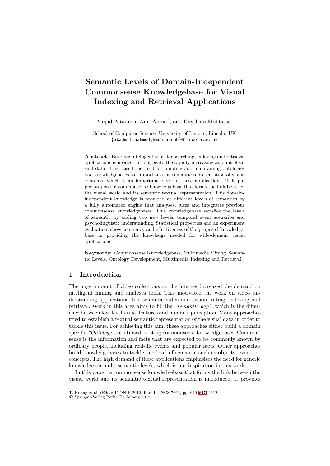### Semantic Levels of Domain-Independent Commonsense Knowledgebase for Visual Indexing and Retrieval Applications

Amjad Altadmri, Amr Ahmed, and Haytham Mohtasseb

School of Computer Science, University of Lincoln, Lincoln, UK {atadmri,aahmed,hmohtasseb}@lincoln.ac.uk

<span id="page-1-0"></span>Abstract. Building intelligent tools for searching, indexing and retrieval applications is needed to congregate the rapidly increasing amount of visual data. This raised the need for building and maintaining ontologies and knowledgebases to support textual semantic representation of visual contents, which is an important block in these applications. This paper proposes a commonsense knowledgebase that forms the link between the visual world and its semantic textual representation. This domainindependent knowledge is provided at different levels of semantics by a fully automated engine that analyses, fuses and integrates previous commonsense knowledgebases. This knowledgebase satisfies the levels of semantic by adding two new levels: temporal event scenarios and psycholinguistic understanding. Statistical properties and an experiment evaluation, show coherency and effectiveness of the proposed knowledgebase in providing the knowledge needed for wide-domain visual applications.

Keywords: Commonsense Knowledgebase, Multimedia Mining, Semantic Levels, Ontology Development, Multimedia Indexing and Retrieval.

#### 1 Introduction

The huge amount of video collections on the internet increased the demand on intelligent mining and analyses tools. This motivated the work on video understanding applications, like semantic video annotation, rating, indexing and retrieval. Work in this area aims to fill the "semantic gap", which is the difference between low-level visual features and human's perception. Many approaches tried to establish a textual semantic representation of the visual data in order to tackle this issue. For achieving this aim, these approaches either build a domain specific "Ontology", or utilized existing commonsense knowledgebases. Commonsense is the information and facts that are expected to be commonly known by ordinary people, including real-life events and popular facts. Other approaches build knowledgebases to tackle one level of semantic such as objects, events or concepts. The high demand of these applications emphasizes the need for generic knowledge on multi semantic levels, which is our inspiration in this work.

In this paper, a commonsense knowledgebase that forms the link between the visual world and its semantic textual representation is introduced. It provides

T. Huang et al. (Eds.): ICONIP 2012, Part I, LNCS 7663, pp. 640[–647,](#page-7-0) 2012.

<sup>-</sup>c Springer-Verlag Berlin Heidelberg 2012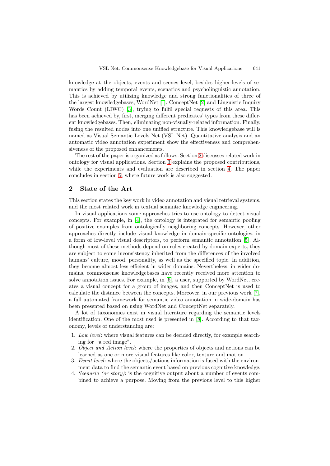knowledge at the objects, events and scenes level, besides higher-levels of semantics by adding temporal events, scenarios and psycholinguistic annotation. This is achieved by utilizing knowledge and strong functionalities of three of the largest knowledgebases, WordNet [\[1\]](#page-7-0), ConceptNet [\[2\]](#page-7-1) and Linguistic Inquiry Words Count (LIWC) [\[3\]](#page-7-2), trying to fulfil special requests of this area. This has been achieved by, first, merging different predicates' types from these different knowledgebases. Then, eliminating non-visually-related information. Finally, fusing the resulted nodes into one unified structure. This knowledgebase will is named as Visual Semantic Levels Net (VSL Net). Quantitative analysis and an automatic video annotation experiment show the effectiveness and comprehensiveness of the proposed enhancements.

<span id="page-2-1"></span>The rest of the paper is organized as follows: Section [2](#page-1-0) discusses related work in ontology for visual applications. Section [3](#page-2-0) explains the proposed contributions, while the experiments and evaluation are described in section [4.](#page-4-0) The paper concludes in section [5,](#page-6-0) where future work is also suggested.

#### 2 State of the Art

This section states the key work in video annotation and visual retrieval systems, and the most related work in textual semantic knowledge engineering.

<span id="page-2-0"></span>In visual applications some approaches tries to use ontology to detect visual concepts. For example, in [\[4\]](#page-7-3), the ontology is integrated for semantic pooling of positive examples from ontologically neighboring concepts. However, other approaches directly include visual knowledge in domain-specific ontologies, in a form of low-level visual descriptors, to perform semantic annotation [\[5\]](#page-7-4). Although most of these methods depend on rules created by domain experts, they are subject to some inconsistency inherited from the differences of the involved humans' culture, mood, personality, as well as the specified topic. In addition, they become almost less efficient in wider domains. Nevertheless, in wider domains, commonsense knowledgebases have recently received more attention to solve annotation issues. For example, in [\[6\]](#page-7-5), a user, supported by WordNet, creates a visual concept for a group of images, and then ConceptNet is used to calculate the distance between the concepts. Moreover, in our previous work [\[7\]](#page-7-6), a full automated framework for semantic video annotation in wide-domain has been presented based on using WordNet and ConceptNet separately.

A lot of taxonomies exist in visual literature regarding the semantic levels identification. One of the most used is presented in [\[8\]](#page-7-7). According to that taxonomy, levels of understanding are:

- 1. Low level: where visual features can be decided directly, for example searching for "a red image".
- 2. Object and Action level: where the properties of objects and actions can be learned as one or more visual features like color, texture and motion.
- 3. Event level: where the objects/actions information is fused with the environment data to find the semantic event based on previous cognitive knowledge.
- 4. Scenario (or story): is the cognitive output about a number of events combined to achieve a purpose. Moving from the previous level to this higher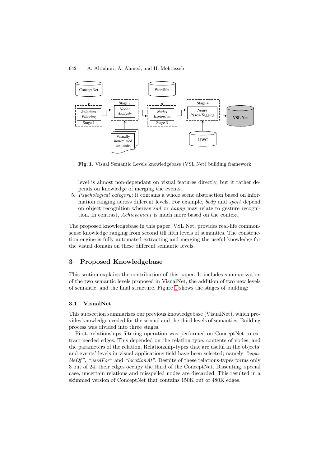#### 642 A. Altadmri, A. Ahmed, and H. Mohtasseb



Fig. 1. Visual Semantic Levels knowledgebase (VSL Net) building framework

level is almost non-dependant on visual features directly, but it rather depends on knowledge of merging the events.

5. Psychological category: it contains a whole scene abstraction based on information ranging across different levels. For example, body and sport depend on object recognition whereas sad or happy may relate to gesture recognition. In contrast, Achievement is much more based on the context.

The proposed knowledgebase in this paper, VSL Net, provides real-life commonsense knowledge ranging from second till fifth levels of semantics. The construction engine is fully automated extracting and merging the useful knowledge for the visual domain on these different semantic levels.

#### 3 Proposed Knowledgebase

This section explains the contribution of this paper. It includes summarization of the two semantic levels proposed in VisualNet, the addition of two new levels of semantic, and the final structure. Figure [1](#page-2-1) shows the stages of building:

#### 3.1 VisualNet

This subsection summarizes our previous knowledgebase (VisualNet), which provides knowledge needed for the second and the third levels of semantics. Building process was divided into three stages.

First, relationships filtering operation was performed on ConceptNet to extract needed edges. This depended on the relation type, contents of nodes, and the parameters of the relation. Relationship-types that are useful in the objects' and events' levels in visual applications field have been selected; namely "capa $bleOf", "usedFor" and "locationAt".$  Despite of these relations-types forms only 3 out of 24, their edges occupy the third of the ConceptNet. Dissenting, special case, uncertain relations and misspelled nodes are discarded. This resulted in a skimmed version of ConceptNet that contains 150K out of 480K edges.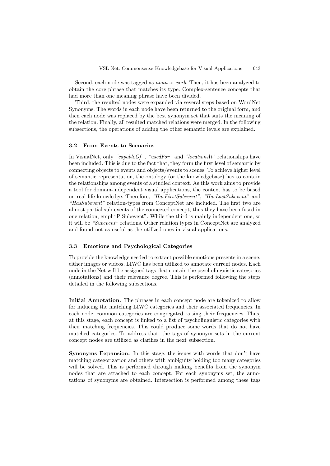Second, each node was tagged as *noun* or *verb*. Then, it has been analyzed to obtain the core phrase that matches its type. Complex-sentence concepts that had more than one meaning phrase have been divided.

Third, the resulted nodes were expanded via several steps based on WordNet Synonyms. The words in each node have been returned to the original form, and then each node was replaced by the best synonym set that suits the meaning of the relation. Finally, all resulted matched relations were merged. In the following subsections, the operations of adding the other semantic levels are explained.

#### 3.2 From Events to Scenarios

<span id="page-4-1"></span>In VisualNet, only "capableOf", "usedFor" and "locationAt" relationships have been included. This is due to the fact that, they form the first level of semantic by connecting objects to events and objects/events to scenes. To achieve higher level of semantic representation, the ontology (or the knowledgebase) has to contain the relationships among events of a studied context. As this work aims to provide a tool for domain-independent visual applications, the context has to be based on real-life knowledge. Therefore, "HasFirstSubevent", "HasLastSubevent" and "HasSubevent" relation-types from ConceptNet are included. The first two are almost partial sub-events of the connected concept, thus they have been fused in one relation, emph"P Subevent". While the third is mainly independent one, so it will be "Subevent" relations. Other relation types in ConceptNet are analyzed and found not as useful as the utilized ones in visual applications.

#### 3.3 Emotions and Psychological Categories

<span id="page-4-0"></span>To provide the knowledge needed to extract possible emotions presents in a scene, either images or videos, LIWC has been utilized to annotate current nodes. Each node in the Net will be assigned tags that contain the psycholinguistic categories (annotations) and their relevance degree. This is performed following the steps detailed in the following subsections.

Initial Annotation. The phrases in each concept node are tokenized to allow for inducing the matching LIWC categories and their associated frequencies. In each node, common categories are congregated raising their frequencies. Thus, at this stage, each concept is linked to a list of psycholinguistic categories with their matching frequencies. This could produce some words that do not have matched categories. To address that, the tags of synonym sets in the current concept nodes are utilized as clarifies in the next subsection.

Synonyms Expansion. In this stage, the issues with words that don't have matching categorization and others with ambiguity holding too many categories will be solved. This is performed through making benefits from the synonym nodes that are attached to each concept. For each synonyms set, the annotations of synonyms are obtained. Intersection is performed among these tags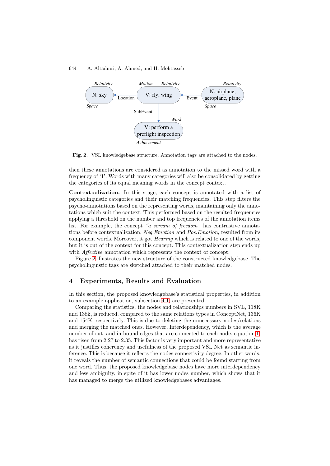#### 644 A. Altadmri, A. Ahmed, and H. Mohtasseb

<span id="page-5-1"></span>

<span id="page-5-0"></span>Fig. 2. VSL knowledgebase structure. Annotation tags are attached to the nodes.

then these annotations are considered as annotation to the missed word with a frequency of '1'. Words with many categories will also be consolidated by getting the categories of its equal meaning words in the concept context.

Contextualization. In this stage, each concept is annotated with a list of psycholinguistic categories and their matching frequencies. This step filters the psycho-annotations based on the representing words, maintaining only the annotations which suit the context. This performed based on the resulted frequencies applying a threshold on the number and top frequencies of the annotation items list. For example, the concept "a scream of freedom" has contrastive annotations before contextualization, Neg.Emotion and Pos.Emotion, resulted from its component words. Moreover, it got Hearing which is related to one of the words, but it is out of the context for this concept. This contextualization step ends up with *Affective* annotation which represents the context of concept.

Figure [2](#page-4-1) illustrates the new structure of the constructed knowledgebase. The psycholinguistic tags are sketched attached to their matched nodes.

#### 4 Experiments, Results and Evaluation

In this section, the proposed knowledgebase's statistical properties, in addition to an example application, subsection [4.1,](#page-5-0) are presented.

Comparing the statistics, the nodes and relationships numbers in SVL, 118K and 138k, is reduced, compared to the same relations types in ConceptNet, 136K and 154K, respectively. This is due to deleting the unnecessary nodes/relations and merging the matched ones. However, Interdependency, which is the average number of out- and in-bound edges that are connected to each node, equation [1,](#page-5-1) has risen from 2.27 to 2.35. This factor is very important and more representative as it justifies coherency and usefulness of the proposed VSL Net as semantic inference. This is because it reflects the nodes connectivity degree. In other words, it reveals the number of semantic connections that could be found starting from one word. Thus, the proposed knowledgebase nodes have more interdependency and less ambiguity, in spite of it has lower nodes number, which shows that it has managed to merge the utilized knowledgebases advantages.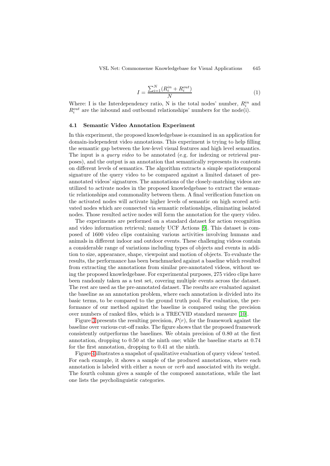$$
I = \frac{\sum_{i=1}^{N} (R_i^{in} + R_i^{out})}{N}
$$
 (1)

Where: I is the Interdependency ratio, N is the total nodes' number,  $R_i^{in}$  and  $R_i^{out}$  are the inbound and outbound relationships' numbers for the node(i).

#### 4.1 Semantic Video Annotation Experiment

<span id="page-6-1"></span>In this experiment, the proposed knowledgebase is examined in an application for domain-independent video annotations. This experiment is trying to help filling the semantic gap between the low-level visual features and high level semantics. The input is a *query video* to be annotated (e.g. for indexing or retrieval purposes), and the output is an annotation that semantically represents its contents on different levels of semantics. The algorithm extracts a simple spatiotemporal signature of the query video to be compared against a limited dataset of preannotated videos' signatures. The annotations of the closely-matching videos are utilized to activate nodes in the proposed knowledgebase to extract the semantic relationships and commonality between them. A final verification function on the activated nodes will activate higher levels of semantic on high scored activated nodes which are connected via semantic relationships, eliminating isolated nodes. Those resulted active nodes will form the annotation for the query video.

The experiments are performed on a standard dataset for action recognition and video information retrieval; namely UCF Actions [\[9\]](#page-7-8). This dataset is composed of 1600 video clips containing various activities involving humans and animals in different indoor and outdoor events. These challenging videos contain a considerable range of variations including types of objects and events in addition to size, appearance, shape, viewpoint and motion of objects. To evaluate the results, the performance has been benchmarked against a baseline which resulted from extracting the annotations from similar pre-annotated videos, without using the proposed knowledgebase. For experimental purposes, 275 video clips have been randomly taken as a test set, covering multiple events across the dataset. The rest are used as the pre-annotated dataset. The results are evaluated against the baseline as an annotation problem, where each annotation is divided into its basic terms, to be compared to the ground truth pool. For evaluation, the performance of our method against the baseline is compared using the precision over numbers of ranked files, which is a TRECVID standard measure [\[10\]](#page-7-9).

<span id="page-6-2"></span><span id="page-6-0"></span>Figure [3](#page-6-1) presents the resulting precision,  $P(r)$ , for the framework against the baseline over various cut-off ranks. The figure shows that the proposed framework consistently outperforms the baselines. We obtain precision of 0.80 at the first annotation, dropping to 0.50 at the ninth one; while the baseline starts at 0.74 for the first annotation, dropping to 0.41 at the ninth.

Figure [4](#page-6-2) illustrates a snapshot of qualitative evaluation of query videos' tested. For each example, it shows a sample of the produced annotations, where each annotation is labeled with either a noun or verb and associated with its weight. The fourth column gives a sample of the composed annotations, while the last one lists the psycholinguistic categories.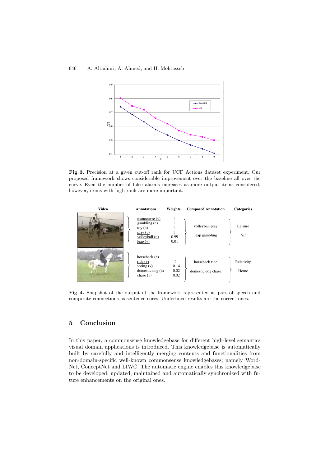#### 646 A. Altadmri, A. Ahmed, and H. Mohtasseb



Fig. 3. Precision at a given cut-off rank for UCF Actions dataset experiment. Our proposed framework shows considerable improvement over the baseline all over the curve. Even the number of false alarms increases as more output items considered, however, items with high rank are more important.

<span id="page-7-3"></span><span id="page-7-2"></span><span id="page-7-1"></span><span id="page-7-0"></span>

| Video | <b>Annotations</b>                                                              | Weights              | <b>Composed Annotation</b>           | <b>Categories</b>  |
|-------|---------------------------------------------------------------------------------|----------------------|--------------------------------------|--------------------|
|       | manoeuvre (v)<br>gambling (n)<br>toy(n)<br>play(v)<br>volleyball (n)<br>leap(v) | 0.99<br>0.01         | volleyball play<br>leap gambling     | Leisure<br>Nil     |
|       | horseback (n)<br>ride(v)<br>spring $(v)$<br>domestic dog $(n)$<br>chase $(v)$   | 0.14<br>0.02<br>0.02 | horseback ride<br>domestic dog chase | Relativity<br>Home |

<span id="page-7-6"></span><span id="page-7-5"></span><span id="page-7-4"></span>Fig. 4. Snapshot of the output of the framework represented as part of speech and composite connections as sentence cores. Underlined results are the correct ones.

#### <span id="page-7-7"></span>5 Conclusion

<span id="page-7-9"></span><span id="page-7-8"></span>In this paper, a commonsense knowledgebase for different high-level semantics visual domain applications is introduced. This knowledgebase is automatically built by carefully and intelligently merging contents and functionalities from non-domain-specific well-known commonsense knowledgebases; namely Word-Net, ConceptNet and LIWC. The automatic engine enables this knowledgebase to be developed, updated, maintained and automatically synchronized with future enhancements on the original ones.